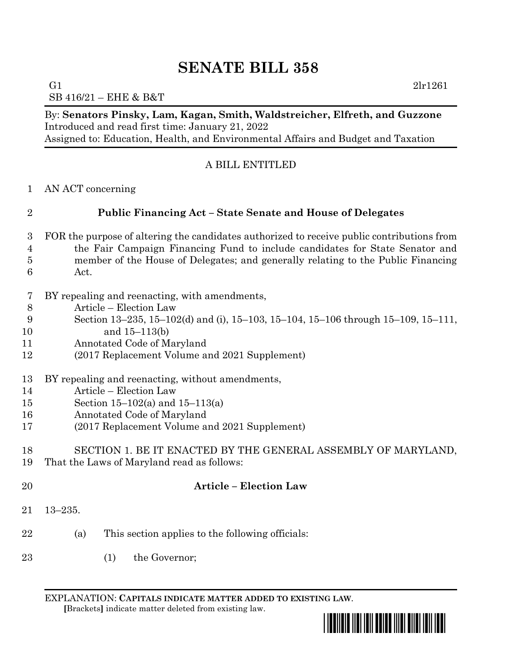SB 416/21 – EHE & B&T

By: **Senators Pinsky, Lam, Kagan, Smith, Waldstreicher, Elfreth, and Guzzone** Introduced and read first time: January 21, 2022 Assigned to: Education, Health, and Environmental Affairs and Budget and Taxation

# A BILL ENTITLED

AN ACT concerning

# **Public Financing Act – State Senate and House of Delegates**

- FOR the purpose of altering the candidates authorized to receive public contributions from the Fair Campaign Financing Fund to include candidates for State Senator and member of the House of Delegates; and generally relating to the Public Financing Act.
- BY repealing and reenacting, with amendments,
- Article Election Law
- Section 13–235, 15–102(d) and (i), 15–103, 15–104, 15–106 through 15–109, 15–111,
- and 15–113(b)
- Annotated Code of Maryland
- (2017 Replacement Volume and 2021 Supplement)
- BY repealing and reenacting, without amendments,
- Article Election Law
- Section 15–102(a) and 15–113(a)
- Annotated Code of Maryland
- (2017 Replacement Volume and 2021 Supplement)

## SECTION 1. BE IT ENACTED BY THE GENERAL ASSEMBLY OF MARYLAND, That the Laws of Maryland read as follows:

- **Article – Election Law** 13–235.
- (a) This section applies to the following officials:
- 23 (1) the Governor;

EXPLANATION: **CAPITALS INDICATE MATTER ADDED TO EXISTING LAW**.  **[**Brackets**]** indicate matter deleted from existing law.



G1  $2\text{lr}1261$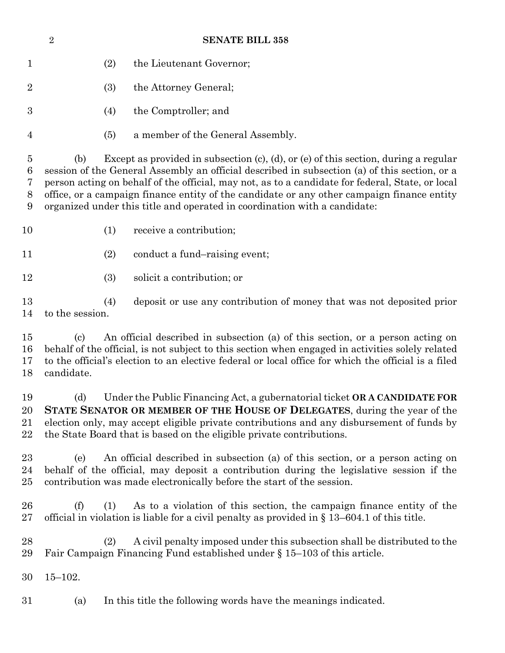|                                                   | $\overline{2}$                           | <b>SENATE BILL 358</b>                                                                                                                                                                                                                                                                                                                                                                                                                                                      |
|---------------------------------------------------|------------------------------------------|-----------------------------------------------------------------------------------------------------------------------------------------------------------------------------------------------------------------------------------------------------------------------------------------------------------------------------------------------------------------------------------------------------------------------------------------------------------------------------|
| $\mathbf{1}$                                      |                                          | the Lieutenant Governor;<br>(2)                                                                                                                                                                                                                                                                                                                                                                                                                                             |
| $\overline{2}$                                    |                                          | (3)<br>the Attorney General;                                                                                                                                                                                                                                                                                                                                                                                                                                                |
| $\boldsymbol{3}$                                  |                                          | the Comptroller; and<br>(4)                                                                                                                                                                                                                                                                                                                                                                                                                                                 |
| $\overline{4}$                                    |                                          | a member of the General Assembly.<br>(5)                                                                                                                                                                                                                                                                                                                                                                                                                                    |
| $\overline{5}$<br>6<br>7<br>8<br>$\boldsymbol{9}$ | (b)                                      | Except as provided in subsection $(c)$ , $(d)$ , or $(e)$ of this section, during a regular<br>session of the General Assembly an official described in subsection (a) of this section, or a<br>person acting on behalf of the official, may not, as to a candidate for federal, State, or local<br>office, or a campaign finance entity of the candidate or any other campaign finance entity<br>organized under this title and operated in coordination with a candidate: |
| 10                                                |                                          | (1)<br>receive a contribution;                                                                                                                                                                                                                                                                                                                                                                                                                                              |
| 11                                                |                                          | (2)<br>conduct a fund-raising event;                                                                                                                                                                                                                                                                                                                                                                                                                                        |
| 12                                                |                                          | solicit a contribution; or<br>(3)                                                                                                                                                                                                                                                                                                                                                                                                                                           |
| 13<br>14                                          | to the session.                          | (4)<br>deposit or use any contribution of money that was not deposited prior                                                                                                                                                                                                                                                                                                                                                                                                |
| 15<br>16<br>17<br>18                              | $\left( \mathrm{c}\right)$<br>candidate. | An official described in subsection (a) of this section, or a person acting on<br>behalf of the official, is not subject to this section when engaged in activities solely related<br>to the official's election to an elective federal or local office for which the official is a filed                                                                                                                                                                                   |
| 19<br>20<br>21<br>22                              |                                          | (d) Under the Public Financing Act, a gubernatorial ticket ORA CANDIDATE FOR<br>STATE SENATOR OR MEMBER OF THE HOUSE OF DELEGATES, during the year of the<br>election only, may accept eligible private contributions and any disbursement of funds by<br>the State Board that is based on the eligible private contributions.                                                                                                                                              |
| 23<br>24<br>25                                    | (e)                                      | An official described in subsection (a) of this section, or a person acting on<br>behalf of the official, may deposit a contribution during the legislative session if the<br>contribution was made electronically before the start of the session.                                                                                                                                                                                                                         |
| 26<br>27                                          | (f)                                      | As to a violation of this section, the campaign finance entity of the<br>(1)<br>official in violation is liable for a civil penalty as provided in $\S 13-604.1$ of this title.                                                                                                                                                                                                                                                                                             |
| 28<br>29                                          |                                          | A civil penalty imposed under this subsection shall be distributed to the<br>(2)<br>Fair Campaign Financing Fund established under § 15–103 of this article.                                                                                                                                                                                                                                                                                                                |
| 30                                                | $15 - 102.$                              |                                                                                                                                                                                                                                                                                                                                                                                                                                                                             |
| 31                                                | (a)                                      | In this title the following words have the meanings indicated.                                                                                                                                                                                                                                                                                                                                                                                                              |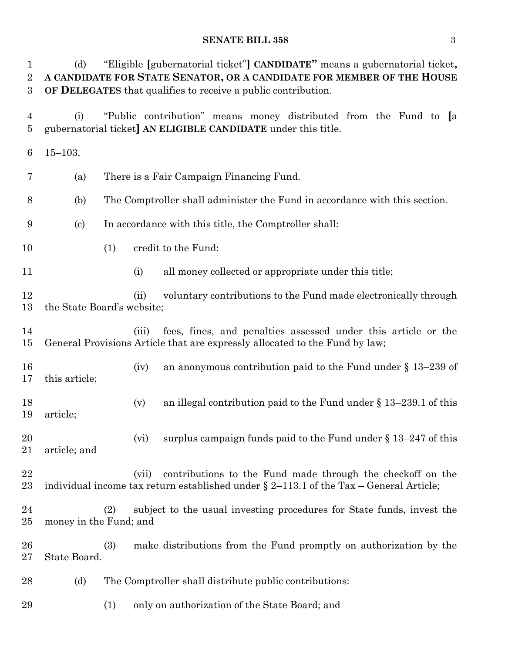| $\mathbf 1$<br>$\overline{2}$<br>$\boldsymbol{3}$ | (d)                        |     |       | "Eligible [gubernatorial ticket"] CANDIDATE" means a gubernatorial ticket,<br>A CANDIDATE FOR STATE SENATOR, OR A CANDIDATE FOR MEMBER OF THE HOUSE<br>OF DELEGATES that qualifies to receive a public contribution. |
|---------------------------------------------------|----------------------------|-----|-------|----------------------------------------------------------------------------------------------------------------------------------------------------------------------------------------------------------------------|
| 4<br>$\overline{5}$                               | (i)                        |     |       | "Public contribution" means money distributed from the Fund to [a<br>gubernatorial ticket] AN ELIGIBLE CANDIDATE under this title.                                                                                   |
| 6                                                 | $15 - 103.$                |     |       |                                                                                                                                                                                                                      |
| 7                                                 | (a)                        |     |       | There is a Fair Campaign Financing Fund.                                                                                                                                                                             |
| 8                                                 | (b)                        |     |       | The Comptroller shall administer the Fund in accordance with this section.                                                                                                                                           |
| 9                                                 | $\left( \mathrm{c}\right)$ |     |       | In accordance with this title, the Comptroller shall:                                                                                                                                                                |
| 10                                                |                            | (1) |       | credit to the Fund:                                                                                                                                                                                                  |
| 11                                                |                            |     | (i)   | all money collected or appropriate under this title;                                                                                                                                                                 |
| 12<br>13                                          | the State Board's website; |     | (ii)  | voluntary contributions to the Fund made electronically through                                                                                                                                                      |
| 14<br>15                                          |                            |     | (iii) | fees, fines, and penalties assessed under this article or the<br>General Provisions Article that are expressly allocated to the Fund by law;                                                                         |
| 16<br>17                                          | this article;              |     | (iv)  | an anonymous contribution paid to the Fund under $\S 13-239$ of                                                                                                                                                      |
| 18<br>19                                          | article;                   |     | (v)   | an illegal contribution paid to the Fund under $\S 13-239.1$ of this                                                                                                                                                 |
| 20<br>21                                          | article; and               |     | (vi)  | surplus campaign funds paid to the Fund under $\S 13-247$ of this                                                                                                                                                    |
| 22<br>$\rm 23$                                    |                            |     | (vii) | contributions to the Fund made through the checkoff on the<br>individual income tax return established under $\S 2$ –113.1 of the Tax – General Article;                                                             |
| 24<br>$25\,$                                      | money in the Fund; and     | (2) |       | subject to the usual investing procedures for State funds, invest the                                                                                                                                                |
| 26<br>$27\,$                                      | State Board.               | (3) |       | make distributions from the Fund promptly on authorization by the                                                                                                                                                    |
| 28                                                | (d)                        |     |       | The Comptroller shall distribute public contributions:                                                                                                                                                               |
| 29                                                |                            | (1) |       | only on authorization of the State Board; and                                                                                                                                                                        |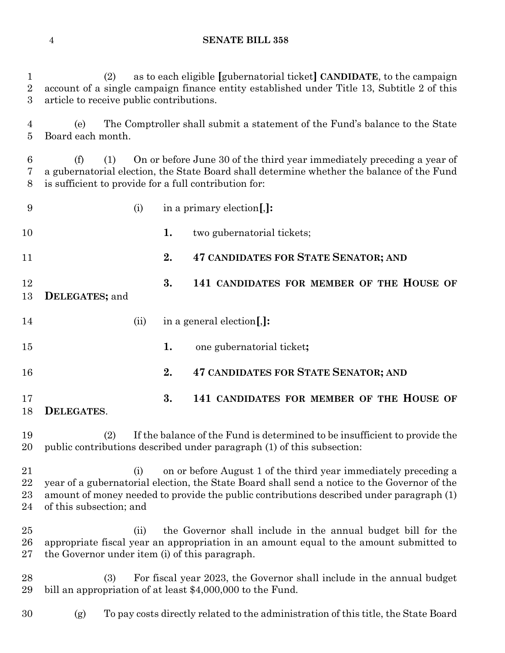(2) as to each eligible **[**gubernatorial ticket**] CANDIDATE**, to the campaign account of a single campaign finance entity established under Title 13, Subtitle 2 of this article to receive public contributions.

 (e) The Comptroller shall submit a statement of the Fund's balance to the State Board each month.

 (f) (1) On or before June 30 of the third year immediately preceding a year of a gubernatorial election, the State Board shall determine whether the balance of the Fund is sufficient to provide for a full contribution for:

| 9                      |                                                | (i)  |    | in a primary election                                                                                                                                                                                                                                       |
|------------------------|------------------------------------------------|------|----|-------------------------------------------------------------------------------------------------------------------------------------------------------------------------------------------------------------------------------------------------------------|
| 10                     |                                                |      | 1. | two gubernatorial tickets;                                                                                                                                                                                                                                  |
| 11                     |                                                |      | 2. | <b>47 CANDIDATES FOR STATE SENATOR; AND</b>                                                                                                                                                                                                                 |
| 12<br>13               | DELEGATES; and                                 |      | 3. | 141 CANDIDATES FOR MEMBER OF THE HOUSE OF                                                                                                                                                                                                                   |
| 14                     |                                                | (ii) |    | in a general election.]:                                                                                                                                                                                                                                    |
| 15                     |                                                |      | 1. | one gubernatorial ticket;                                                                                                                                                                                                                                   |
| 16                     |                                                |      | 2. | <b>47 CANDIDATES FOR STATE SENATOR; AND</b>                                                                                                                                                                                                                 |
| 17<br>18               | DELEGATES.                                     |      | 3. | 141 CANDIDATES FOR MEMBER OF THE HOUSE OF                                                                                                                                                                                                                   |
| 19<br>20               | (2)                                            |      |    | If the balance of the Fund is determined to be insufficient to provide the<br>public contributions described under paragraph (1) of this subsection:                                                                                                        |
| 21<br>22<br>23<br>24   | of this subsection; and                        | (i)  |    | on or before August 1 of the third year immediately preceding a<br>year of a gubernatorial election, the State Board shall send a notice to the Governor of the<br>amount of money needed to provide the public contributions described under paragraph (1) |
| $25\,$<br>26<br>$27\,$ | the Governor under item (i) of this paragraph. | (ii) |    | the Governor shall include in the annual budget bill for the<br>appropriate fiscal year an appropriation in an amount equal to the amount submitted to                                                                                                      |
| 28<br>29               | (3)                                            |      |    | For fiscal year 2023, the Governor shall include in the annual budget<br>bill an appropriation of at least \$4,000,000 to the Fund.                                                                                                                         |
| 30                     | (g)                                            |      |    | To pay costs directly related to the administration of this title, the State Board                                                                                                                                                                          |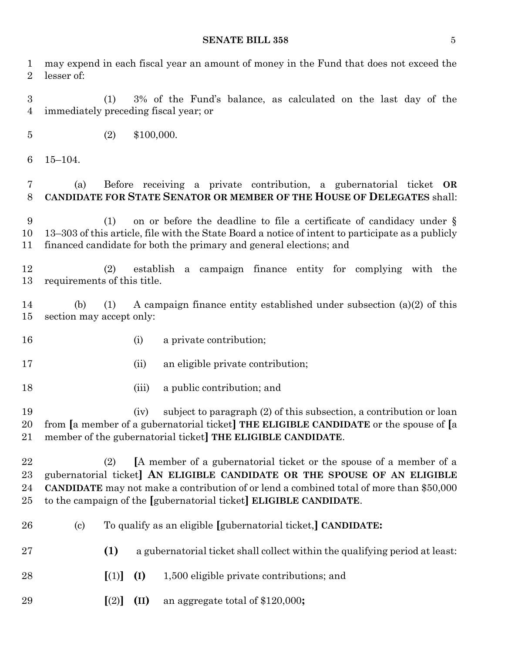| 1<br>$\overline{2}$           | may expend in each fiscal year an amount of money in the Fund that does not exceed the<br>lesser of:                                                                                                                                                                                                                         |
|-------------------------------|------------------------------------------------------------------------------------------------------------------------------------------------------------------------------------------------------------------------------------------------------------------------------------------------------------------------------|
| 3<br>$\overline{4}$           | 3% of the Fund's balance, as calculated on the last day of the<br>(1)<br>immediately preceding fiscal year; or                                                                                                                                                                                                               |
| $\bf 5$                       | (2)<br>\$100,000.                                                                                                                                                                                                                                                                                                            |
| 6                             | $15 - 104.$                                                                                                                                                                                                                                                                                                                  |
| 7<br>8                        | Before receiving a private contribution, a gubernatorial ticket OR<br>(a)<br>CANDIDATE FOR STATE SENATOR OR MEMBER OF THE HOUSE OF DELEGATES shall:                                                                                                                                                                          |
| 9<br>10<br>11                 | on or before the deadline to file a certificate of candidacy under $\S$<br>(1)<br>13–303 of this article, file with the State Board a notice of intent to participate as a publicly<br>financed candidate for both the primary and general elections; and                                                                    |
| 12<br>13                      | establish a campaign finance entity for complying with the<br>(2)<br>requirements of this title.                                                                                                                                                                                                                             |
| 14<br>15                      | A campaign finance entity established under subsection $(a)(2)$ of this<br>(b)<br>(1)<br>section may accept only:                                                                                                                                                                                                            |
| 16                            | a private contribution;<br>(i)                                                                                                                                                                                                                                                                                               |
| 17                            | an eligible private contribution;<br>(ii)                                                                                                                                                                                                                                                                                    |
| 18                            | a public contribution; and<br>(iii)                                                                                                                                                                                                                                                                                          |
| 19<br>20<br>21                | subject to paragraph (2) of this subsection, a contribution or loan<br>(iv)<br>from [a member of a gubernatorial ticket] THE ELIGIBLE CANDIDATE or the spouse of [a<br>member of the gubernatorial ticket] THE ELIGIBLE CANDIDATE.                                                                                           |
| 22<br>$^{23}$<br>24<br>$25\,$ | [A member of a gubernatorial ticket or the spouse of a member of a<br>(2)<br>gubernatorial ticket] AN ELIGIBLE CANDIDATE OR THE SPOUSE OF AN ELIGIBLE<br><b>CANDIDATE</b> may not make a contribution of or lend a combined total of more than \$50,000<br>to the campaign of the [gubernatorial ticket] ELIGIBLE CANDIDATE. |
| 26                            | To qualify as an eligible [gubernatorial ticket,] CANDIDATE:<br>$\left( \mathrm{c}\right)$                                                                                                                                                                                                                                   |
| $27\,$                        | (1)<br>a gubernatorial ticket shall collect within the qualifying period at least:                                                                                                                                                                                                                                           |
| 28                            | [(1)]<br>(I)<br>1,500 eligible private contributions; and                                                                                                                                                                                                                                                                    |
| 29                            | (II)<br>an aggregate total of $$120,000$ ;<br>[(2)]                                                                                                                                                                                                                                                                          |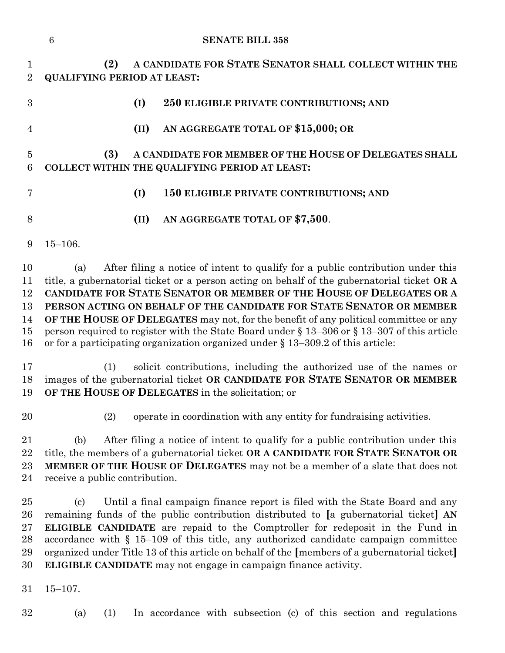|                                        | $\,6\,$                                   |      | <b>SENATE BILL 358</b>                                                                                                                                                                                                                                                                                                                                                                                                                                                                                                                                                                                            |
|----------------------------------------|-------------------------------------------|------|-------------------------------------------------------------------------------------------------------------------------------------------------------------------------------------------------------------------------------------------------------------------------------------------------------------------------------------------------------------------------------------------------------------------------------------------------------------------------------------------------------------------------------------------------------------------------------------------------------------------|
| $\mathbf{1}$<br>$\overline{2}$         | (2)<br><b>QUALIFYING PERIOD AT LEAST:</b> |      | A CANDIDATE FOR STATE SENATOR SHALL COLLECT WITHIN THE                                                                                                                                                                                                                                                                                                                                                                                                                                                                                                                                                            |
| 3                                      |                                           | (I)  | 250 ELIGIBLE PRIVATE CONTRIBUTIONS; AND                                                                                                                                                                                                                                                                                                                                                                                                                                                                                                                                                                           |
| $\overline{4}$                         |                                           | (II) | AN AGGREGATE TOTAL OF \$15,000; OR                                                                                                                                                                                                                                                                                                                                                                                                                                                                                                                                                                                |
| $\overline{5}$<br>6                    | (3)                                       |      | A CANDIDATE FOR MEMBER OF THE HOUSE OF DELEGATES SHALL<br>COLLECT WITHIN THE QUALIFYING PERIOD AT LEAST:                                                                                                                                                                                                                                                                                                                                                                                                                                                                                                          |
| 7                                      |                                           | (I)  | 150 ELIGIBLE PRIVATE CONTRIBUTIONS; AND                                                                                                                                                                                                                                                                                                                                                                                                                                                                                                                                                                           |
| 8                                      |                                           | (II) | AN AGGREGATE TOTAL OF \$7,500.                                                                                                                                                                                                                                                                                                                                                                                                                                                                                                                                                                                    |
| 9                                      | $15 - 106.$                               |      |                                                                                                                                                                                                                                                                                                                                                                                                                                                                                                                                                                                                                   |
| 10<br>11<br>12<br>13<br>14<br>15<br>16 | (a)                                       |      | After filing a notice of intent to qualify for a public contribution under this<br>title, a gubernatorial ticket or a person acting on behalf of the gubernatorial ticket OR A<br>CANDIDATE FOR STATE SENATOR OR MEMBER OF THE HOUSE OF DELEGATES OR A<br>PERSON ACTING ON BEHALF OF THE CANDIDATE FOR STATE SENATOR OR MEMBER<br>OF THE HOUSE OF DELEGATES may not, for the benefit of any political committee or any<br>person required to register with the State Board under $\S 13-306$ or $\S 13-307$ of this article<br>or for a participating organization organized under $\S 13-309.2$ of this article: |
| 17<br>18<br>19                         | (1)                                       |      | solicit contributions, including the authorized use of the names or<br>images of the gubernatorial ticket OR CANDIDATE FOR STATE SENATOR OR MEMBER<br>OF THE HOUSE OF DELEGATES in the solicitation; or                                                                                                                                                                                                                                                                                                                                                                                                           |
| 20                                     | (2)                                       |      | operate in coordination with any entity for fundraising activities.                                                                                                                                                                                                                                                                                                                                                                                                                                                                                                                                               |
| 21<br>22<br>23<br>24                   | (b)<br>receive a public contribution.     |      | After filing a notice of intent to qualify for a public contribution under this<br>title, the members of a gubernatorial ticket OR A CANDIDATE FOR STATE SENATOR OR<br><b>MEMBER OF THE HOUSE OF DELEGATES</b> may not be a member of a slate that does not                                                                                                                                                                                                                                                                                                                                                       |
| 25<br>26<br>27<br>28<br>29<br>30       | (c)                                       |      | Until a final campaign finance report is filed with the State Board and any<br>remaining funds of the public contribution distributed to [a gubernatorial ticket] AN<br>ELIGIBLE CANDIDATE are repaid to the Comptroller for redeposit in the Fund in<br>accordance with $\S$ 15-109 of this title, any authorized candidate campaign committee<br>organized under Title 13 of this article on behalf of the [members of a gubernatorial ticket]<br>ELIGIBLE CANDIDATE may not engage in campaign finance activity.                                                                                               |
| 31                                     | $15 - 107.$                               |      |                                                                                                                                                                                                                                                                                                                                                                                                                                                                                                                                                                                                                   |
| 32                                     | (a)<br>(1)                                |      | In accordance with subsection (c) of this section and regulations                                                                                                                                                                                                                                                                                                                                                                                                                                                                                                                                                 |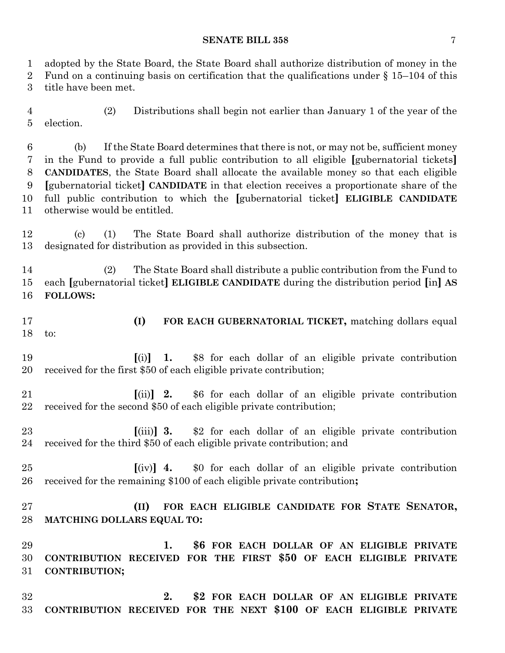adopted by the State Board, the State Board shall authorize distribution of money in the 2 Fund on a continuing basis on certification that the qualifications under  $\S 15$ –104 of this

title have been met.

 (2) Distributions shall begin not earlier than January 1 of the year of the election.

 (b) If the State Board determines that there is not, or may not be, sufficient money in the Fund to provide a full public contribution to all eligible **[**gubernatorial tickets**] CANDIDATES**, the State Board shall allocate the available money so that each eligible **[**gubernatorial ticket**] CANDIDATE** in that election receives a proportionate share of the full public contribution to which the **[**gubernatorial ticket**] ELIGIBLE CANDIDATE** otherwise would be entitled.

 (c) (1) The State Board shall authorize distribution of the money that is designated for distribution as provided in this subsection.

 (2) The State Board shall distribute a public contribution from the Fund to each **[**gubernatorial ticket**] ELIGIBLE CANDIDATE** during the distribution period **[**in**] AS FOLLOWS:**

 **(I) FOR EACH GUBERNATORIAL TICKET,** matching dollars equal to:

 **[**(i)**] 1.** \$8 for each dollar of an eligible private contribution received for the first \$50 of each eligible private contribution;

 **[**(ii)**] 2.** \$6 for each dollar of an eligible private contribution received for the second \$50 of each eligible private contribution;

- **[**(iii)**] 3.** \$2 for each dollar of an eligible private contribution received for the third \$50 of each eligible private contribution; and
- **[**(iv)**] 4.** \$0 for each dollar of an eligible private contribution received for the remaining \$100 of each eligible private contribution**;**

 **(II) FOR EACH ELIGIBLE CANDIDATE FOR STATE SENATOR, MATCHING DOLLARS EQUAL TO:**

 **1. \$6 FOR EACH DOLLAR OF AN ELIGIBLE PRIVATE CONTRIBUTION RECEIVED FOR THE FIRST \$50 OF EACH ELIGIBLE PRIVATE CONTRIBUTION;**

 **2. \$2 FOR EACH DOLLAR OF AN ELIGIBLE PRIVATE CONTRIBUTION RECEIVED FOR THE NEXT \$100 OF EACH ELIGIBLE PRIVATE**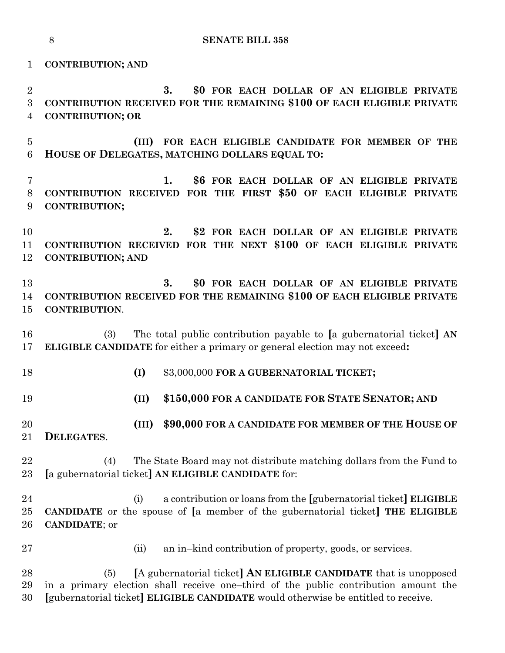**CONTRIBUTION; AND**

 **3. \$0 FOR EACH DOLLAR OF AN ELIGIBLE PRIVATE CONTRIBUTION RECEIVED FOR THE REMAINING \$100 OF EACH ELIGIBLE PRIVATE CONTRIBUTION; OR**

 **(III) FOR EACH ELIGIBLE CANDIDATE FOR MEMBER OF THE HOUSE OF DELEGATES, MATCHING DOLLARS EQUAL TO:**

 **1. \$6 FOR EACH DOLLAR OF AN ELIGIBLE PRIVATE CONTRIBUTION RECEIVED FOR THE FIRST \$50 OF EACH ELIGIBLE PRIVATE CONTRIBUTION;**

 **2. \$2 FOR EACH DOLLAR OF AN ELIGIBLE PRIVATE CONTRIBUTION RECEIVED FOR THE NEXT \$100 OF EACH ELIGIBLE PRIVATE CONTRIBUTION; AND**

 **3. \$0 FOR EACH DOLLAR OF AN ELIGIBLE PRIVATE CONTRIBUTION RECEIVED FOR THE REMAINING \$100 OF EACH ELIGIBLE PRIVATE CONTRIBUTION**.

 (3) The total public contribution payable to **[**a gubernatorial ticket**] AN ELIGIBLE CANDIDATE** for either a primary or general election may not exceed**:**

**(I)** \$3,000,000 **FOR A GUBERNATORIAL TICKET;**

**(II) \$150,000 FOR A CANDIDATE FOR STATE SENATOR; AND**

 **(III) \$90,000 FOR A CANDIDATE FOR MEMBER OF THE HOUSE OF DELEGATES**.

 (4) The State Board may not distribute matching dollars from the Fund to **[**a gubernatorial ticket**] AN ELIGIBLE CANDIDATE** for:

 (i) a contribution or loans from the **[**gubernatorial ticket**] ELIGIBLE CANDIDATE** or the spouse of **[**a member of the gubernatorial ticket**] THE ELIGIBLE CANDIDATE**; or

(ii) an in–kind contribution of property, goods, or services.

 (5) **[**A gubernatorial ticket**] AN ELIGIBLE CANDIDATE** that is unopposed in a primary election shall receive one–third of the public contribution amount the **[**gubernatorial ticket**] ELIGIBLE CANDIDATE** would otherwise be entitled to receive.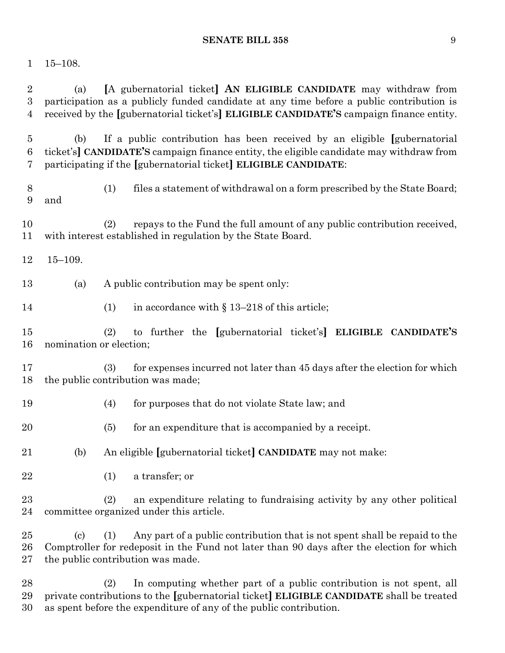## 15–108.

| $\overline{2}$<br>3<br>4 | (a)                      | [A gubernatorial ticket] AN ELIGIBLE CANDIDATE may withdraw from<br>participation as a publicly funded candidate at any time before a public contribution is<br>received by the [gubernatorial ticket's] ELIGIBLE CANDIDATE'S campaign finance entity. |
|--------------------------|--------------------------|--------------------------------------------------------------------------------------------------------------------------------------------------------------------------------------------------------------------------------------------------------|
| $\overline{5}$<br>6<br>7 | (b)                      | If a public contribution has been received by an eligible [gubernatorial]<br>ticket's] CANDIDATE'S campaign finance entity, the eligible candidate may withdraw from<br>participating if the [gubernatorial ticket] ELIGIBLE CANDIDATE:                |
| 8<br>9                   | and                      | files a statement of withdrawal on a form prescribed by the State Board;<br>(1)                                                                                                                                                                        |
| 10<br>11                 |                          | repays to the Fund the full amount of any public contribution received,<br>(2)<br>with interest established in regulation by the State Board.                                                                                                          |
| 12                       | $15 - 109.$              |                                                                                                                                                                                                                                                        |
| 13                       | (a)                      | A public contribution may be spent only:                                                                                                                                                                                                               |
| 14                       |                          | in accordance with $\S 13-218$ of this article;<br>(1)                                                                                                                                                                                                 |
| 15<br>16                 | nomination or election;  | to further the [gubernatorial ticket's] ELIGIBLE CANDIDATE'S<br>(2)                                                                                                                                                                                    |
| 17<br>18                 |                          | for expenses incurred not later than 45 days after the election for which<br>(3)<br>the public contribution was made;                                                                                                                                  |
| 19                       |                          | (4)<br>for purposes that do not violate State law; and                                                                                                                                                                                                 |
| 20                       |                          | (5)<br>for an expenditure that is accompanied by a receipt.                                                                                                                                                                                            |
| 21                       | (b)                      | An eligible [gubernatorial ticket] CANDIDATE may not make:                                                                                                                                                                                             |
| 22                       |                          | a transfer; or<br>(1)                                                                                                                                                                                                                                  |
| 23<br>24                 |                          | (2)<br>an expenditure relating to fundraising activity by any other political<br>committee organized under this article.                                                                                                                               |
| 25<br>26<br>27           | $\left( \text{c}\right)$ | Any part of a public contribution that is not spent shall be repaid to the<br>(1)<br>Comptroller for redeposit in the Fund not later than 90 days after the election for which<br>the public contribution was made.                                    |
| 28<br>29                 |                          | In computing whether part of a public contribution is not spent, all<br>(2)<br>private contributions to the [gubernatorial ticket] ELIGIBLE CANDIDATE shall be treated                                                                                 |

as spent before the expenditure of any of the public contribution.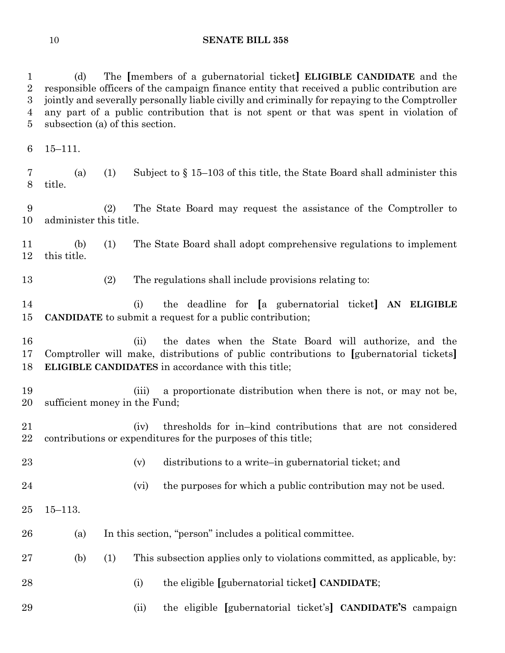(d) The **[**members of a gubernatorial ticket**] ELIGIBLE CANDIDATE** and the responsible officers of the campaign finance entity that received a public contribution are jointly and severally personally liable civilly and criminally for repaying to the Comptroller any part of a public contribution that is not spent or that was spent in violation of subsection (a) of this section.

15–111.

 (a) (1) Subject to § 15–103 of this title, the State Board shall administer this title.

 (2) The State Board may request the assistance of the Comptroller to administer this title.

 (b) (1) The State Board shall adopt comprehensive regulations to implement this title.

(2) The regulations shall include provisions relating to:

 (i) the deadline for **[**a gubernatorial ticket**] AN ELIGIBLE CANDIDATE** to submit a request for a public contribution;

 (ii) the dates when the State Board will authorize, and the Comptroller will make, distributions of public contributions to **[**gubernatorial tickets**] ELIGIBLE CANDIDATES** in accordance with this title;

 (iii) a proportionate distribution when there is not, or may not be, sufficient money in the Fund;

 (iv) thresholds for in–kind contributions that are not considered contributions or expenditures for the purposes of this title;

(v) distributions to a write–in gubernatorial ticket; and

- 24 (vi) the purposes for which a public contribution may not be used.
- 15–113.
- (a) In this section, "person" includes a political committee.
- (b) (1) This subsection applies only to violations committed, as applicable, by:
- (i) the eligible **[**gubernatorial ticket**] CANDIDATE**;
- (ii) the eligible **[**gubernatorial ticket's**] CANDIDATE'S** campaign